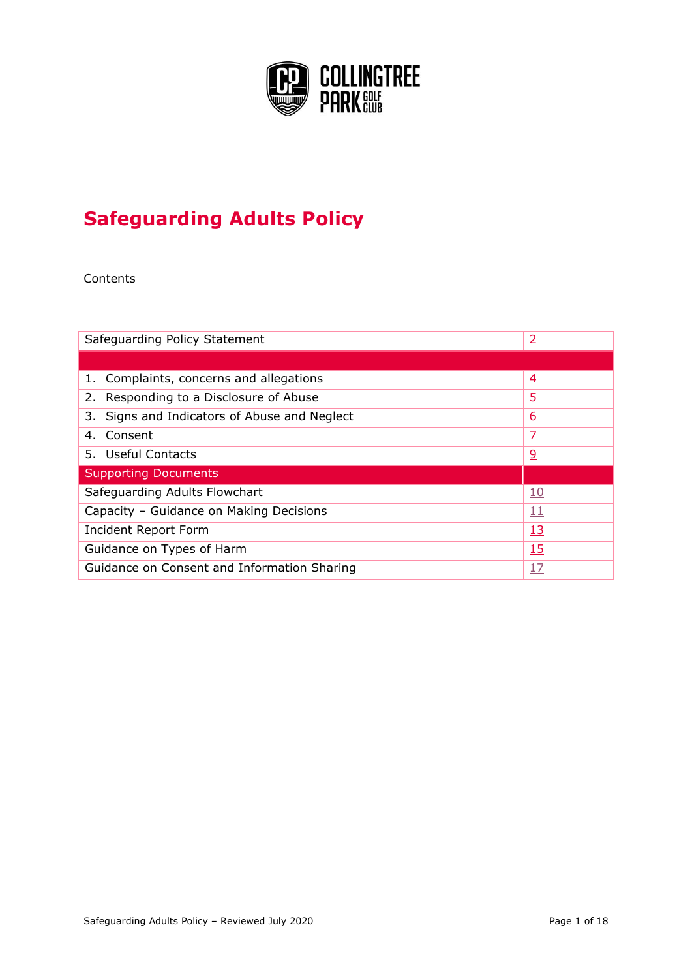

# **Safeguarding Adults Policy**

Contents

| Safeguarding Policy Statement                | $\overline{2}$ |
|----------------------------------------------|----------------|
|                                              |                |
| 1. Complaints, concerns and allegations      | $\overline{4}$ |
| 2. Responding to a Disclosure of Abuse       | <u>5</u>       |
| 3. Signs and Indicators of Abuse and Neglect | <u>6</u>       |
| Consent<br>4.                                | $\overline{Z}$ |
| 5. Useful Contacts                           | <u>و</u>       |
| <b>Supporting Documents</b>                  |                |
| Safeguarding Adults Flowchart                | <u>10</u>      |
| Capacity - Guidance on Making Decisions      | <u> 11</u>     |
| Incident Report Form                         | <u> 13</u>     |
| Guidance on Types of Harm<br>15              |                |
| Guidance on Consent and Information Sharing  | <u>17</u>      |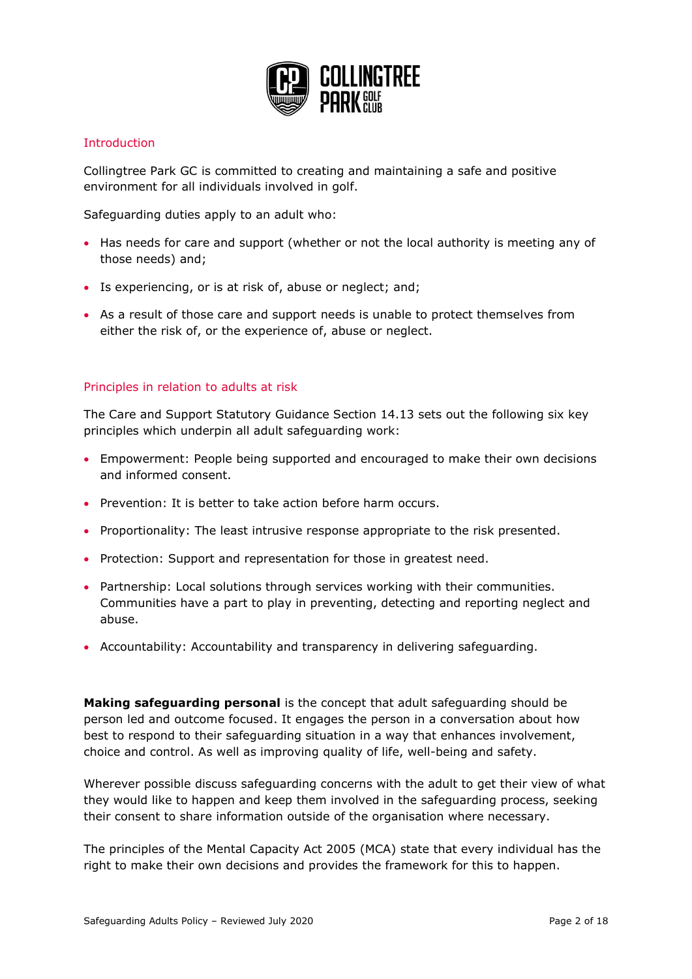

## <span id="page-1-0"></span>Introduction

Collingtree Park GC is committed to creating and maintaining a safe and positive environment for all individuals involved in golf.

Safeguarding duties apply to an adult who:

- Has needs for care and support (whether or not the local authority is meeting any of those needs) and;
- Is experiencing, or is at risk of, abuse or neglect; and;
- As a result of those care and support needs is unable to protect themselves from either the risk of, or the experience of, abuse or neglect.

#### Principles in relation to adults at risk

The Care and Support Statutory Guidance Section 14.13 sets out the following six key principles which underpin all adult safeguarding work:

- Empowerment: People being supported and encouraged to make their own decisions and informed consent.
- Prevention: It is better to take action before harm occurs.
- Proportionality: The least intrusive response appropriate to the risk presented.
- Protection: Support and representation for those in greatest need.
- Partnership: Local solutions through services working with their communities. Communities have a part to play in preventing, detecting and reporting neglect and abuse.
- Accountability: Accountability and transparency in delivering safeguarding.

**Making safeguarding personal** is the concept that adult safeguarding should be person led and outcome focused. It engages the person in a conversation about how best to respond to their safeguarding situation in a way that enhances involvement, choice and control. As well as improving quality of life, well-being and safety.

Wherever possible discuss safeguarding concerns with the adult to get their view of what they would like to happen and keep them involved in the safeguarding process, seeking their consent to share information outside of the organisation where necessary.

The principles of the Mental Capacity Act 2005 (MCA) state that every individual has the right to make their own decisions and provides the framework for this to happen.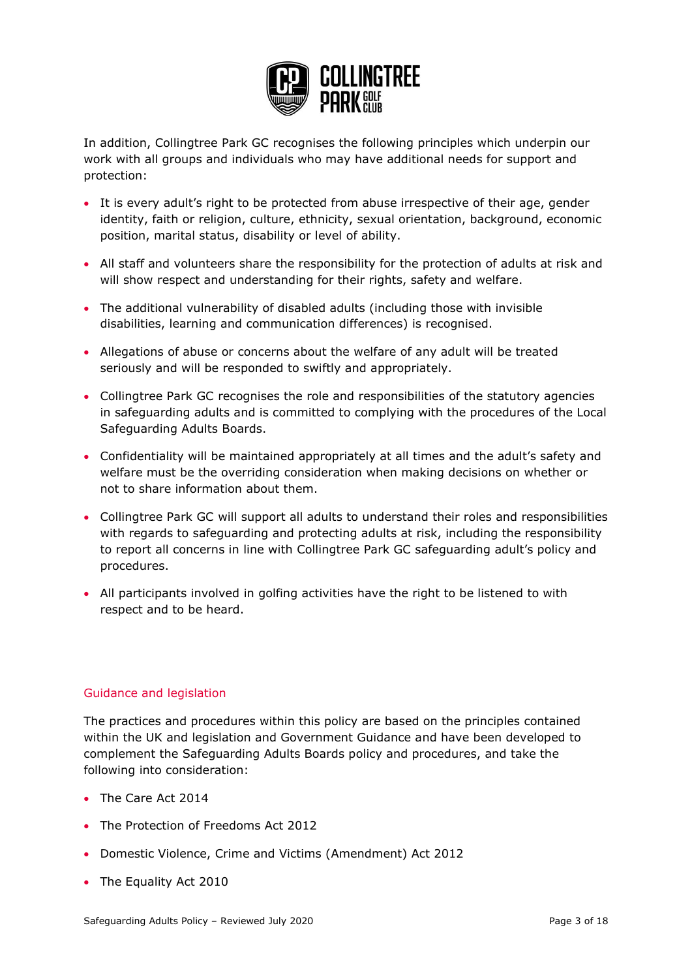

In addition, Collingtree Park GC recognises the following principles which underpin our work with all groups and individuals who may have additional needs for support and protection:

- It is every adult's right to be protected from abuse irrespective of their age, gender identity, faith or religion, culture, ethnicity, sexual orientation, background, economic position, marital status, disability or level of ability.
- All staff and volunteers share the responsibility for the protection of adults at risk and will show respect and understanding for their rights, safety and welfare.
- The additional vulnerability of disabled adults (including those with invisible disabilities, learning and communication differences) is recognised.
- Allegations of abuse or concerns about the welfare of any adult will be treated seriously and will be responded to swiftly and appropriately.
- Collingtree Park GC recognises the role and responsibilities of the statutory agencies in safeguarding adults and is committed to complying with the procedures of the Local Safeguarding Adults Boards.
- Confidentiality will be maintained appropriately at all times and the adult's safety and welfare must be the overriding consideration when making decisions on whether or not to share information about them.
- Collingtree Park GC will support all adults to understand their roles and responsibilities with regards to safeguarding and protecting adults at risk, including the responsibility to report all concerns in line with Collingtree Park GC safeguarding adult's policy and procedures.
- All participants involved in golfing activities have the right to be listened to with respect and to be heard.

## Guidance and legislation

The practices and procedures within this policy are based on the principles contained within the UK and legislation and Government Guidance and have been developed to complement the Safeguarding Adults Boards policy and procedures, and take the following into consideration:

- The Care Act 2014
- The Protection of Freedoms Act 2012
- Domestic Violence, Crime and Victims (Amendment) Act 2012
- The Equality Act 2010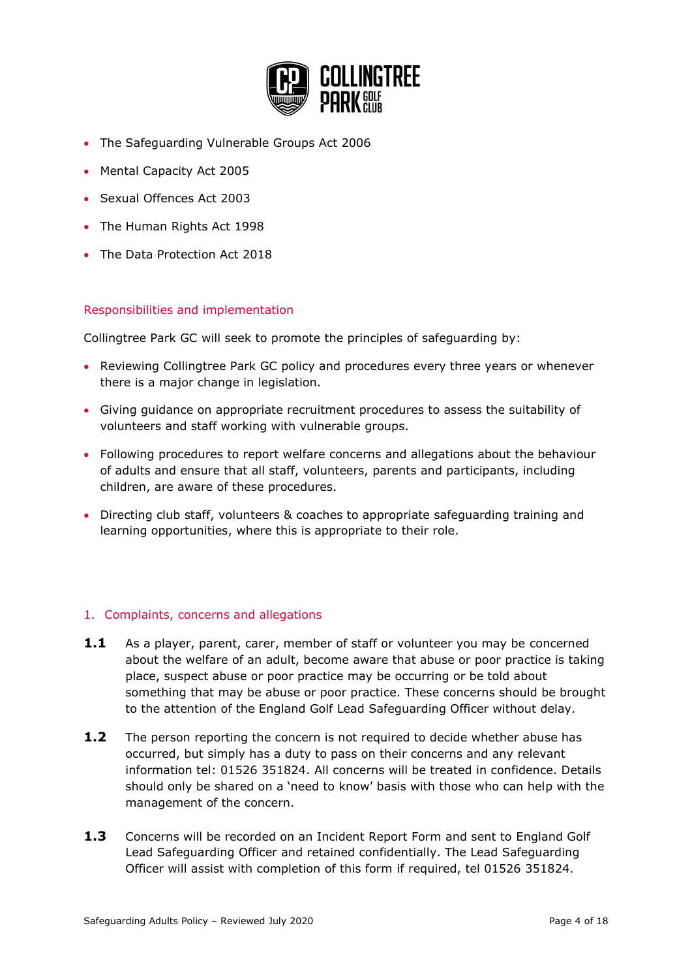

- The Safeguarding Vulnerable Groups Act 2006
- Mental Capacity Act 2005
- Sexual Offences Act 2003
- The Human Rights Act 1998
- The Data Protection Act 2018

#### Responsibilities and implementation

Collingtree Park GC will seek to promote the principles of safeguarding by:

- Reviewing Collingtree Park GC policy and procedures every three years or whenever there is a major change in legislation.
- Giving guidance on appropriate recruitment procedures to assess the suitability of volunteers and staff working with vulnerable groups.
- Following procedures to report welfare concerns and allegations about the behaviour of adults and ensure that all staff, volunteers, parents and participants, including children, are aware of these procedures.
- Directing club staff, volunteers & coaches to appropriate safeguarding training and learning opportunities, where this is appropriate to their role.

## <span id="page-3-0"></span>1. Complaints, concerns and allegations

- **1.1** As a player, parent, carer, member of staff or volunteer you may be concerned about the welfare of an adult, become aware that abuse or poor practice is taking place, suspect abuse or poor practice may be occurring or be told about something that may be abuse or poor practice. These concerns should be brought to the attention of the England Golf Lead Safeguarding Officer without delay.
- **1.2** The person reporting the concern is not required to decide whether abuse has occurred, but simply has a duty to pass on their concerns and any relevant information tel: 01526 351824. All concerns will be treated in confidence. Details should only be shared on a 'need to know' basis with those who can help with the management of the concern.
- **1.3** Concerns will be recorded on an Incident Report Form and sent to England Golf Lead Safeguarding Officer and retained confidentially. The Lead Safeguarding Officer will assist with completion of this form if required, tel 01526 351824.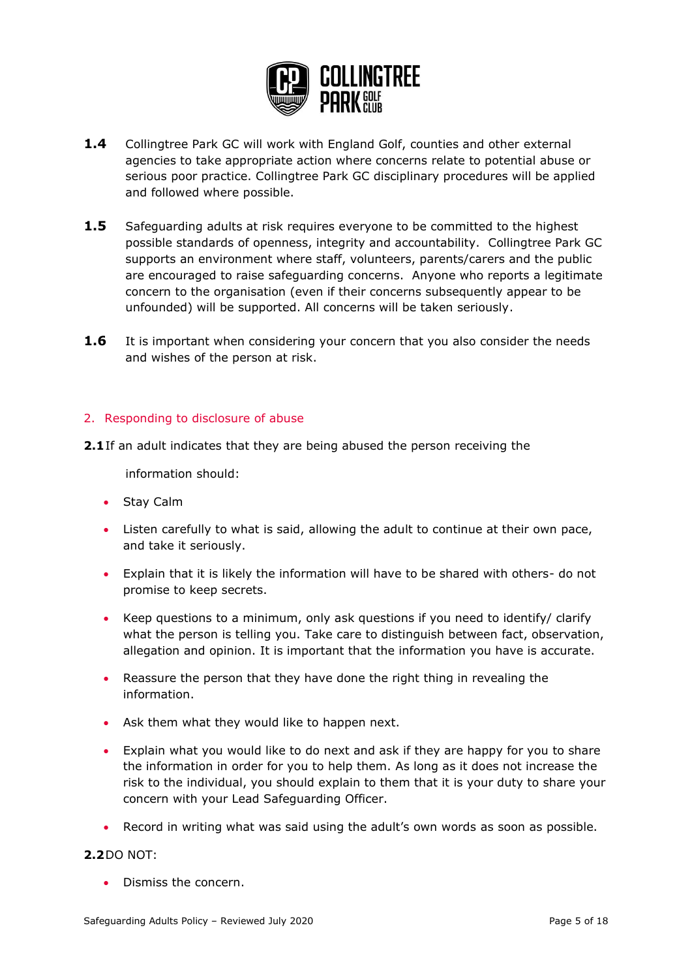

- **1.4** Collingtree Park GC will work with England Golf, counties and other external agencies to take appropriate action where concerns relate to potential abuse or serious poor practice. Collingtree Park GC disciplinary procedures will be applied and followed where possible.
- **1.5** Safeguarding adults at risk requires everyone to be committed to the highest possible standards of openness, integrity and accountability. Collingtree Park GC supports an environment where staff, volunteers, parents/carers and the public are encouraged to raise safeguarding concerns. Anyone who reports a legitimate concern to the organisation (even if their concerns subsequently appear to be unfounded) will be supported. All concerns will be taken seriously.
- **1.6** It is important when considering your concern that you also consider the needs and wishes of the person at risk.

#### <span id="page-4-0"></span>2. Responding to disclosure of abuse

**2.1**If an adult indicates that they are being abused the person receiving the

information should:

- Stay Calm
- Listen carefully to what is said, allowing the adult to continue at their own pace, and take it seriously.
- Explain that it is likely the information will have to be shared with others- do not promise to keep secrets.
- Keep questions to a minimum, only ask questions if you need to identify/ clarify what the person is telling you. Take care to distinguish between fact, observation, allegation and opinion. It is important that the information you have is accurate.
- Reassure the person that they have done the right thing in revealing the information.
- Ask them what they would like to happen next.
- Explain what you would like to do next and ask if they are happy for you to share the information in order for you to help them. As long as it does not increase the risk to the individual, you should explain to them that it is your duty to share your concern with your Lead Safeguarding Officer.
- Record in writing what was said using the adult's own words as soon as possible.

#### **2.2**DO NOT:

• Dismiss the concern.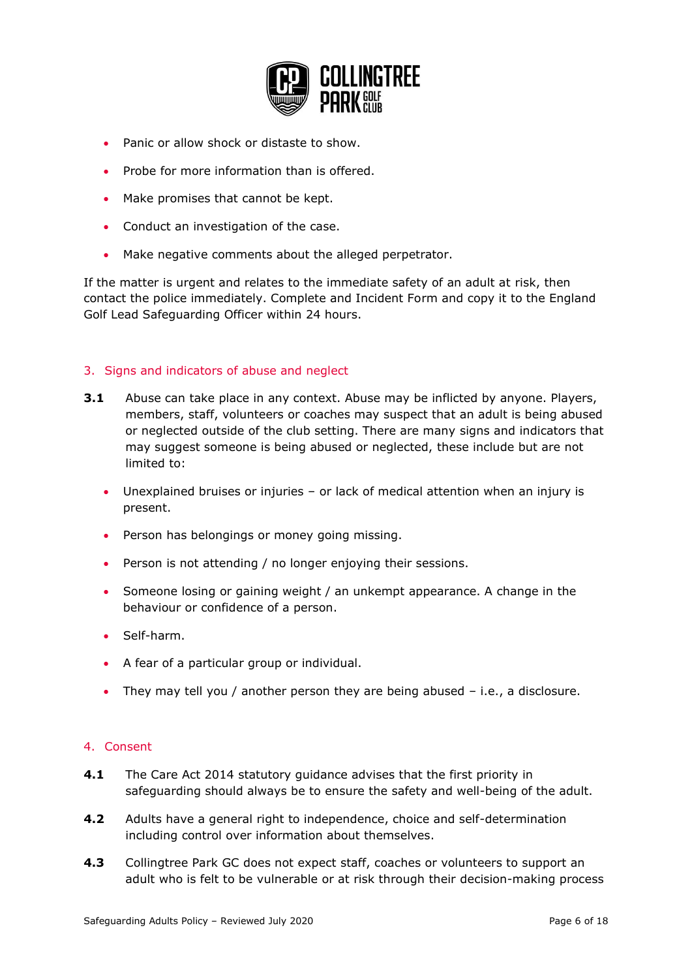

- Panic or allow shock or distaste to show.
- Probe for more information than is offered.
- Make promises that cannot be kept.
- Conduct an investigation of the case.
- Make negative comments about the alleged perpetrator.

If the matter is urgent and relates to the immediate safety of an adult at risk, then contact the police immediately. Complete and Incident Form and copy it to the England Golf Lead Safeguarding Officer within 24 hours.

#### <span id="page-5-0"></span>3. Signs and indicators of abuse and neglect

- **3.1** Abuse can take place in any context. Abuse may be inflicted by anyone. Players, members, staff, volunteers or coaches may suspect that an adult is being abused or neglected outside of the club setting. There are many signs and indicators that may suggest someone is being abused or neglected, these include but are not limited to:
	- Unexplained bruises or injuries or lack of medical attention when an injury is present.
	- Person has belongings or money going missing.
	- Person is not attending / no longer enjoying their sessions.
	- Someone losing or gaining weight / an unkempt appearance. A change in the behaviour or confidence of a person.
	- Self-harm.
	- A fear of a particular group or individual.
	- They may tell you / another person they are being abused i.e., a disclosure.

## <span id="page-5-1"></span>4. Consent

- **4.1** The Care Act 2014 statutory guidance advises that the first priority in safeguarding should always be to ensure the safety and well-being of the adult.
- **4.2** Adults have a general right to independence, choice and self-determination including control over information about themselves.
- **4.3** Collingtree Park GC does not expect staff, coaches or volunteers to support an adult who is felt to be vulnerable or at risk through their decision-making process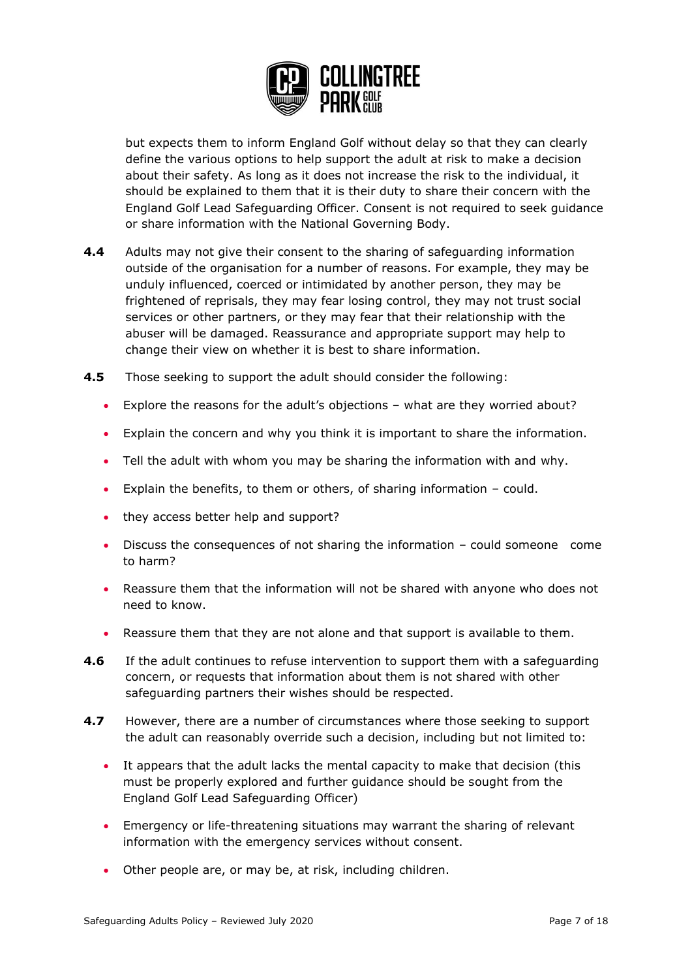

but expects them to inform England Golf without delay so that they can clearly define the various options to help support the adult at risk to make a decision about their safety. As long as it does not increase the risk to the individual, it should be explained to them that it is their duty to share their concern with the England Golf Lead Safeguarding Officer. Consent is not required to seek guidance or share information with the National Governing Body.

- **4.4** Adults may not give their consent to the sharing of safeguarding information outside of the organisation for a number of reasons. For example, they may be unduly influenced, coerced or intimidated by another person, they may be frightened of reprisals, they may fear losing control, they may not trust social services or other partners, or they may fear that their relationship with the abuser will be damaged. Reassurance and appropriate support may help to change their view on whether it is best to share information.
- **4.5** Those seeking to support the adult should consider the following:
	- Explore the reasons for the adult's objections what are they worried about?
	- Explain the concern and why you think it is important to share the information.
	- Tell the adult with whom you may be sharing the information with and why.
	- Explain the benefits, to them or others, of sharing information could.
	- they access better help and support?
	- Discuss the consequences of not sharing the information could someone come to harm?
	- Reassure them that the information will not be shared with anyone who does not need to know.
	- Reassure them that they are not alone and that support is available to them.
- **4.6** If the adult continues to refuse intervention to support them with a safeguarding concern, or requests that information about them is not shared with other safeguarding partners their wishes should be respected.
- **4.7** However, there are a number of circumstances where those seeking to support the adult can reasonably override such a decision, including but not limited to:
	- It appears that the adult lacks the mental capacity to make that decision (this must be properly explored and further guidance should be sought from the England Golf Lead Safeguarding Officer)
	- Emergency or life-threatening situations may warrant the sharing of relevant information with the emergency services without consent.
	- Other people are, or may be, at risk, including children.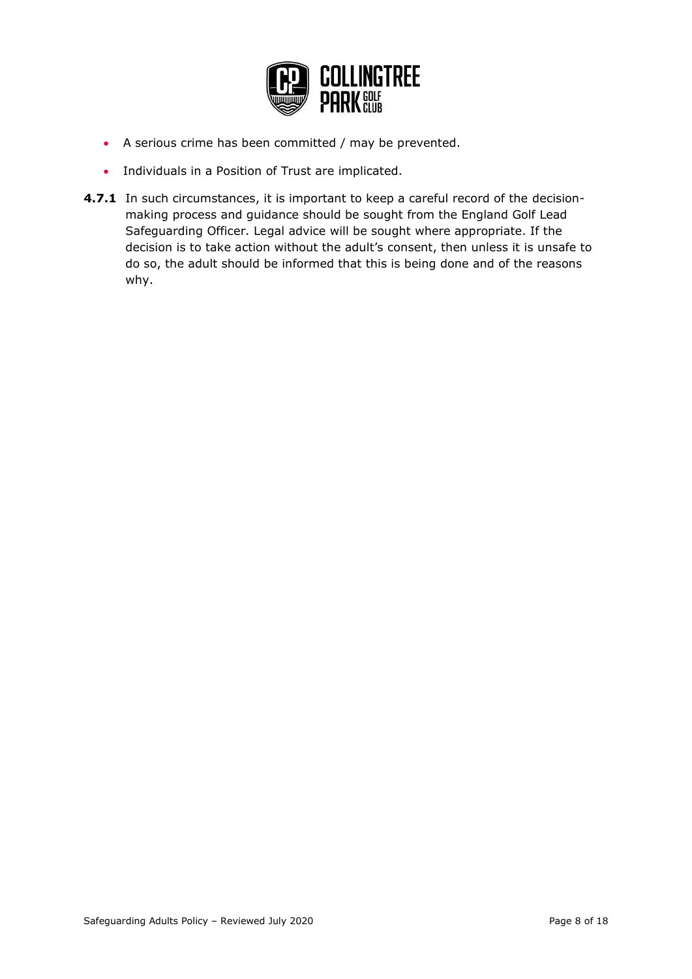

- A serious crime has been committed / may be prevented.
- Individuals in a Position of Trust are implicated.
- **4.7.1** In such circumstances, it is important to keep a careful record of the decisionmaking process and guidance should be sought from the England Golf Lead Safeguarding Officer. Legal advice will be sought where appropriate. If the decision is to take action without the adult's consent, then unless it is unsafe to do so, the adult should be informed that this is being done and of the reasons why.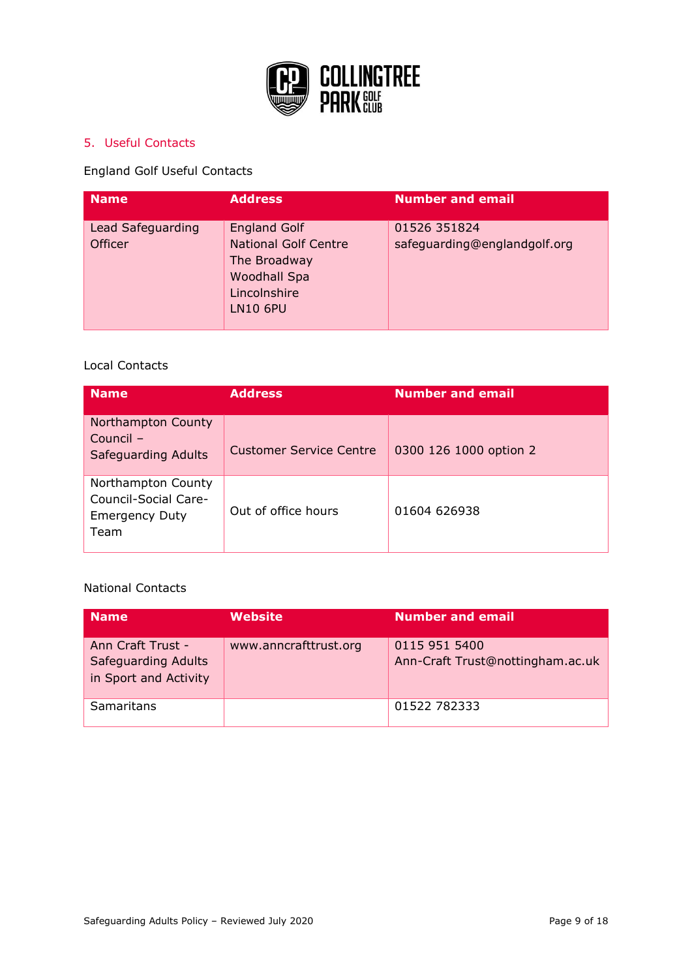

## <span id="page-8-0"></span>5. Useful Contacts

## England Golf Useful Contacts

| <b>Name</b>                         | <b>Address</b>                                                                                                               | <b>Number and email</b>                      |
|-------------------------------------|------------------------------------------------------------------------------------------------------------------------------|----------------------------------------------|
| Lead Safeguarding<br><b>Officer</b> | <b>England Golf</b><br><b>National Golf Centre</b><br>The Broadway<br><b>Woodhall Spa</b><br>Lincolnshire<br><b>LN10 6PU</b> | 01526 351824<br>safeguarding@englandgolf.org |

## Local Contacts

| <b>Name</b>                                                                 | <b>Address</b>                 | <b>Number and email</b> |
|-----------------------------------------------------------------------------|--------------------------------|-------------------------|
| Northampton County<br>Council -<br>Safeguarding Adults                      | <b>Customer Service Centre</b> | 0300 126 1000 option 2  |
| Northampton County<br>Council-Social Care-<br><b>Emergency Duty</b><br>Team | Out of office hours            | 01604 626938            |

#### National Contacts

| Name                                                                     | Website               | <b>Number and email</b>                           |
|--------------------------------------------------------------------------|-----------------------|---------------------------------------------------|
| Ann Craft Trust -<br><b>Safeguarding Adults</b><br>in Sport and Activity | www.anncrafttrust.org | 0115 951 5400<br>Ann-Craft Trust@nottingham.ac.uk |
| Samaritans                                                               |                       | 01522 782333                                      |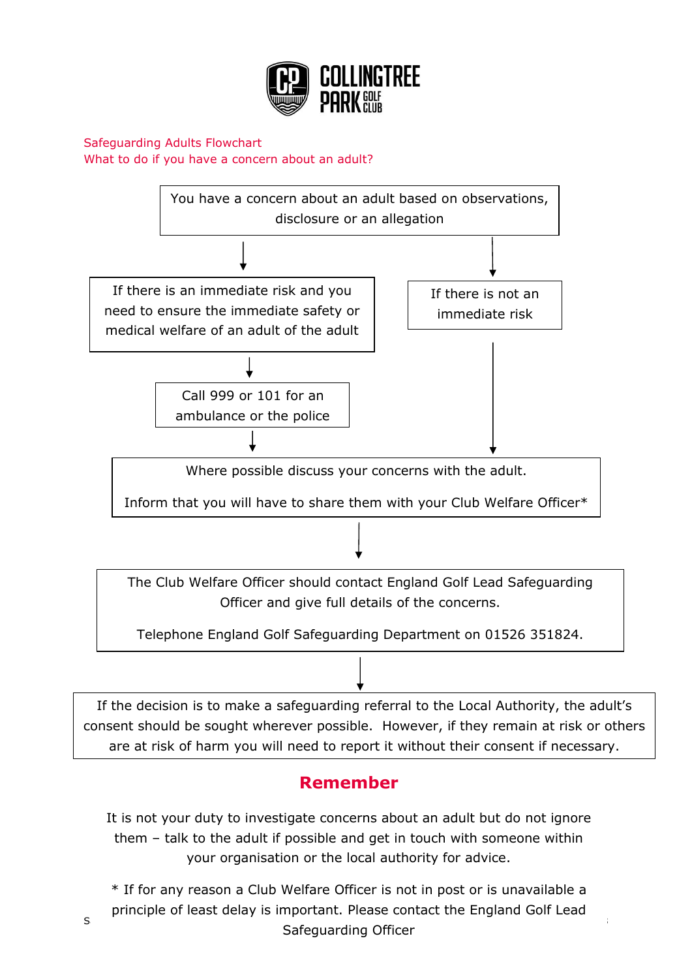

<span id="page-9-0"></span>Safeguarding Adults Flowchart What to do if you have a concern about an adult?



Telephone England Golf Safeguarding Department on 01526 351824.

If the decision is to make a safeguarding referral to the Local Authority, the adult's consent should be sought wherever possible. However, if they remain at risk or others are at risk of harm you will need to report it without their consent if necessary.

## **Remember**

It is not your duty to investigate concerns about an adult but do not ignore them – talk to the adult if possible and get in touch with someone within your organisation or the local authority for advice.

Safeguarding Adults Policy – Reviewed July 2020 Page 10 of 18 \* If for any reason a Club Welfare Officer is not in post or is unavailable a principle of least delay is important. Please contact the England Golf Lead Safeguarding Officer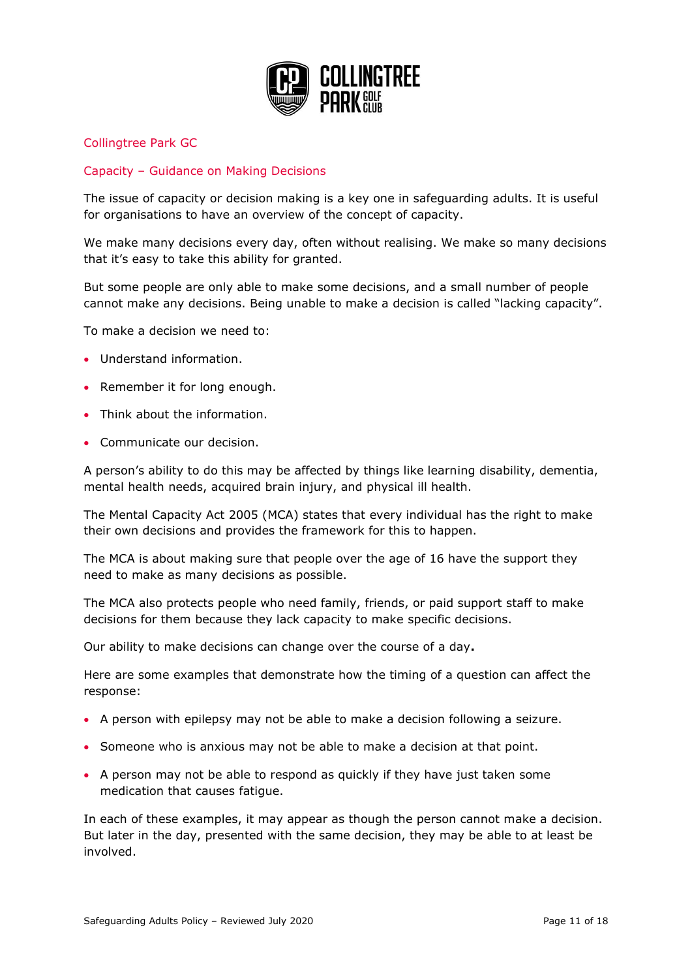

## <span id="page-10-0"></span>Collingtree Park GC

## Capacity – Guidance on Making Decisions

The issue of capacity or decision making is a key one in safeguarding adults. It is useful for organisations to have an overview of the concept of capacity.

We make many decisions every day, often without realising. We make so many decisions that it's easy to take this ability for granted.

But some people are only able to make some decisions, and a small number of people cannot make any decisions. Being unable to make a decision is called "lacking capacity".

To make a decision we need to:

- Understand information.
- Remember it for long enough.
- Think about the information.
- Communicate our decision.

A person's ability to do this may be affected by things like learning disability, dementia, mental health needs, acquired brain injury, and physical ill health.

The Mental Capacity Act 2005 (MCA) states that every individual has the right to make their own decisions and provides the framework for this to happen.

The MCA is about making sure that people over the age of 16 have the support they need to make as many decisions as possible.

The MCA also protects people who need family, friends, or paid support staff to make decisions for them because they lack capacity to make specific decisions.

Our ability to make decisions can change over the course of a day**.**

Here are some examples that demonstrate how the timing of a question can affect the response:

- A person with epilepsy may not be able to make a decision following a seizure.
- Someone who is anxious may not be able to make a decision at that point.
- A person may not be able to respond as quickly if they have just taken some medication that causes fatigue.

In each of these examples, it may appear as though the person cannot make a decision. But later in the day, presented with the same decision, they may be able to at least be involved.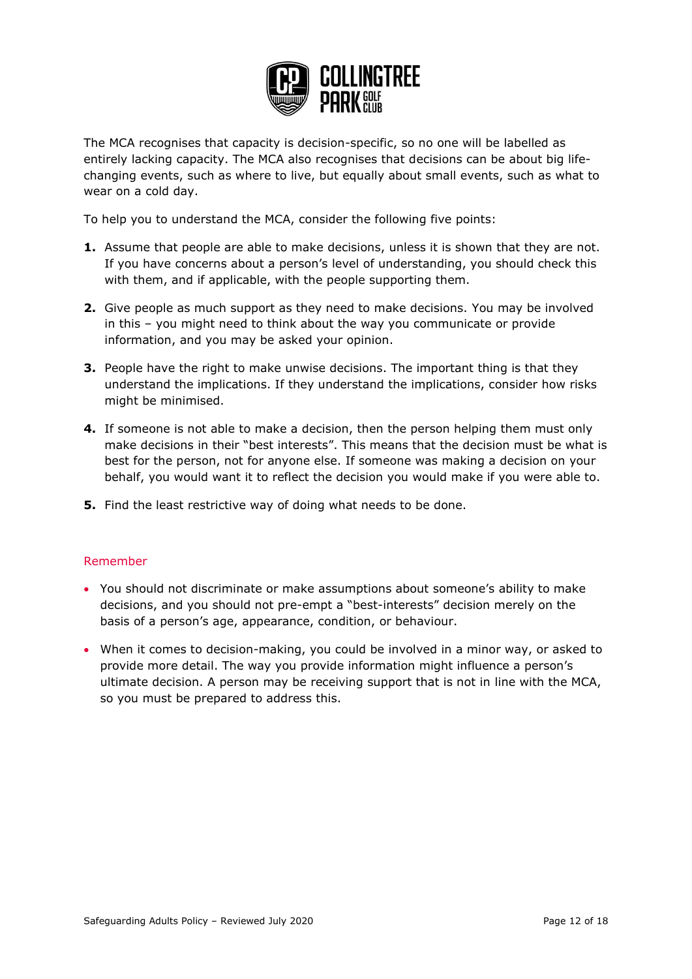

The MCA recognises that capacity is decision-specific, so no one will be labelled as entirely lacking capacity. The MCA also recognises that decisions can be about big lifechanging events, such as where to live, but equally about small events, such as what to wear on a cold day.

To help you to understand the MCA, consider the following five points:

- **1.** Assume that people are able to make decisions, unless it is shown that they are not. If you have concerns about a person's level of understanding, you should check this with them, and if applicable, with the people supporting them.
- **2.** Give people as much support as they need to make decisions. You may be involved in this – you might need to think about the way you communicate or provide information, and you may be asked your opinion.
- **3.** People have the right to make unwise decisions. The important thing is that they understand the implications. If they understand the implications, consider how risks might be minimised.
- **4.** If someone is not able to make a decision, then the person helping them must only make decisions in their "best interests". This means that the decision must be what is best for the person, not for anyone else. If someone was making a decision on your behalf, you would want it to reflect the decision you would make if you were able to.
- **5.** Find the least restrictive way of doing what needs to be done.

#### Remember

- You should not discriminate or make assumptions about someone's ability to make decisions, and you should not pre-empt a "best-interests" decision merely on the basis of a person's age, appearance, condition, or behaviour.
- When it comes to decision-making, you could be involved in a minor way, or asked to provide more detail. The way you provide information might influence a person's ultimate decision. A person may be receiving support that is not in line with the MCA, so you must be prepared to address this.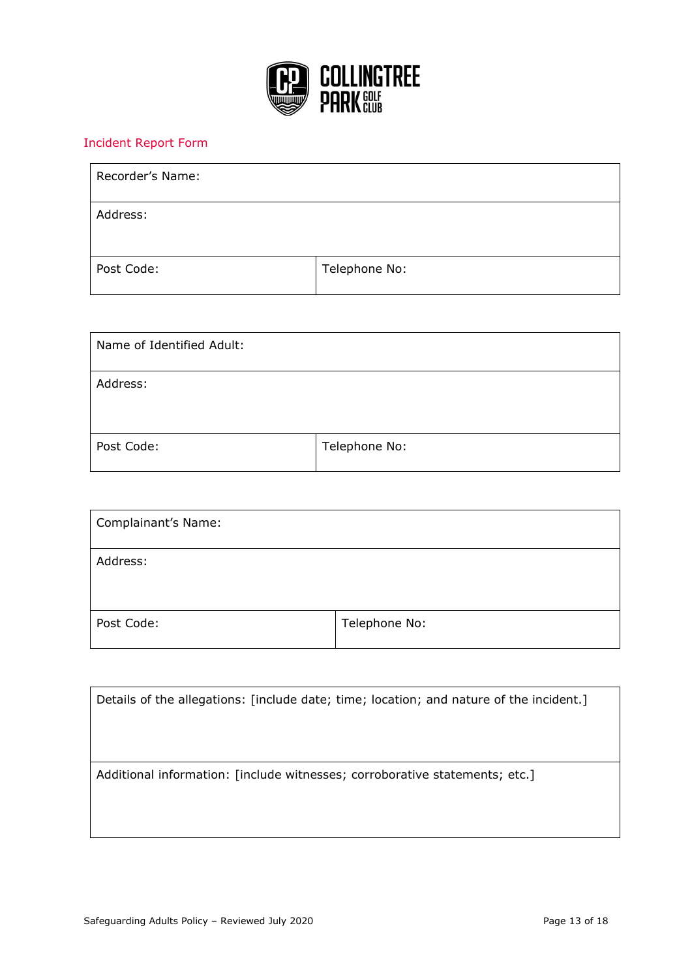

## <span id="page-12-0"></span>Incident Report Form

| Recorder's Name: |               |
|------------------|---------------|
| Address:         |               |
| Post Code:       | Telephone No: |

| Name of Identified Adult: |               |
|---------------------------|---------------|
| Address:                  |               |
| Post Code:                | Telephone No: |

| Complainant's Name: |               |
|---------------------|---------------|
| Address:            |               |
| Post Code:          | Telephone No: |

| Details of the allegations: [include date; time; location; and nature of the incident.] |
|-----------------------------------------------------------------------------------------|
|                                                                                         |
|                                                                                         |
| Additional information: [include witnesses; corroborative statements; etc.]             |
|                                                                                         |
|                                                                                         |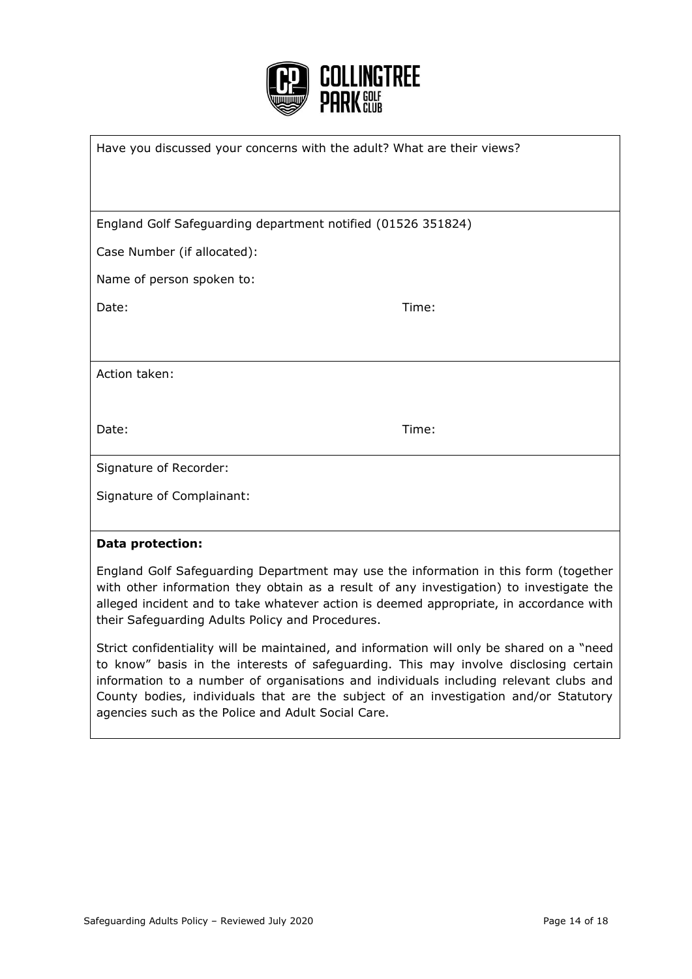

| Have you discussed your concerns with the adult? What are their views? |       |
|------------------------------------------------------------------------|-------|
|                                                                        |       |
|                                                                        |       |
| England Golf Safeguarding department notified (01526 351824)           |       |
| Case Number (if allocated):                                            |       |
| Name of person spoken to:                                              |       |
| Date:                                                                  | Time: |
|                                                                        |       |
| Action taken:                                                          |       |
|                                                                        |       |
| Date:                                                                  | Time: |
|                                                                        |       |
| Signature of Recorder:                                                 |       |
| Signature of Complainant:                                              |       |
|                                                                        |       |
| <b>Data protection:</b>                                                |       |

England Golf Safeguarding Department may use the information in this form (together with other information they obtain as a result of any investigation) to investigate the alleged incident and to take whatever action is deemed appropriate, in accordance with their Safeguarding Adults Policy and Procedures.

Strict confidentiality will be maintained, and information will only be shared on a "need to know" basis in the interests of safeguarding. This may involve disclosing certain information to a number of organisations and individuals including relevant clubs and County bodies, individuals that are the subject of an investigation and/or Statutory agencies such as the Police and Adult Social Care.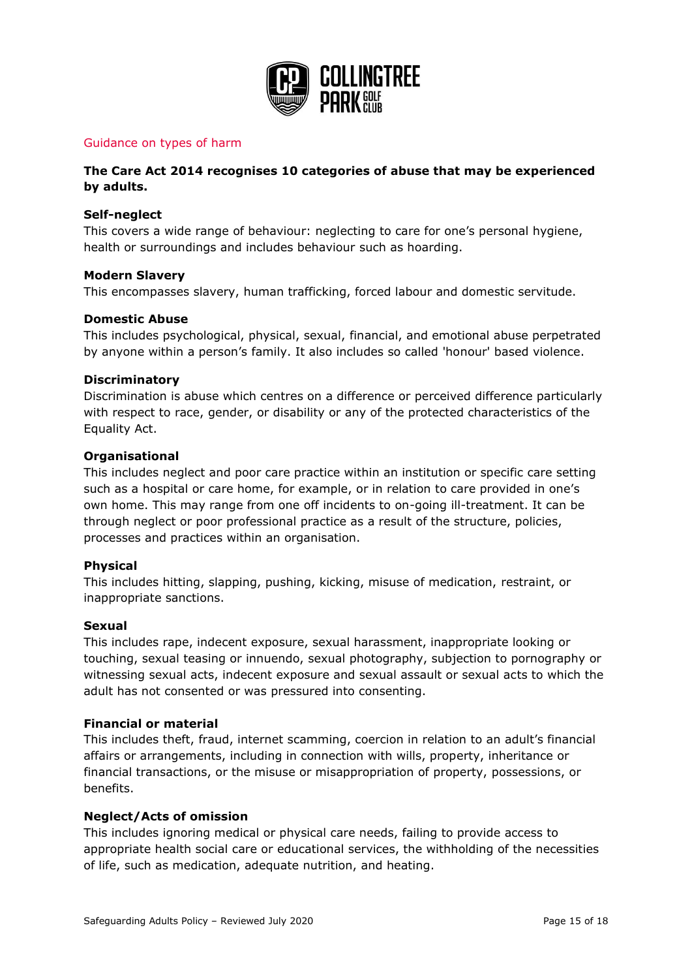

#### <span id="page-14-0"></span>Guidance on types of harm

#### **The Care Act 2014 recognises 10 categories of abuse that may be experienced by adults.**

#### **Self-neglect**

This covers a wide range of behaviour: neglecting to care for one's personal hygiene, health or surroundings and includes behaviour such as hoarding.

#### **Modern Slavery**

This encompasses slavery, human trafficking, forced labour and domestic servitude.

#### **Domestic Abuse**

This includes psychological, physical, sexual, financial, and emotional abuse perpetrated by anyone within a person's family. It also includes so called 'honour' based violence.

#### **Discriminatory**

Discrimination is abuse which centres on a difference or perceived difference particularly with respect to race, gender, or disability or any of the protected characteristics of the Equality Act.

#### **Organisational**

This includes neglect and poor care practice within an institution or specific care setting such as a hospital or care home, for example, or in relation to care provided in one's own home. This may range from one off incidents to on-going ill-treatment. It can be through neglect or poor professional practice as a result of the structure, policies, processes and practices within an organisation.

#### **Physical**

This includes hitting, slapping, pushing, kicking, misuse of medication, restraint, or inappropriate sanctions.

#### **Sexual**

This includes rape, indecent exposure, sexual harassment, inappropriate looking or touching, sexual teasing or innuendo, sexual photography, subjection to pornography or witnessing sexual acts, indecent exposure and sexual assault or sexual acts to which the adult has not consented or was pressured into consenting.

#### **Financial or material**

This includes theft, fraud, internet scamming, coercion in relation to an adult's financial affairs or arrangements, including in connection with wills, property, inheritance or financial transactions, or the misuse or misappropriation of property, possessions, or benefits.

#### **Neglect/Acts of omission**

This includes ignoring medical or physical care needs, failing to provide access to appropriate health social care or educational services, the withholding of the necessities of life, such as medication, adequate nutrition, and heating.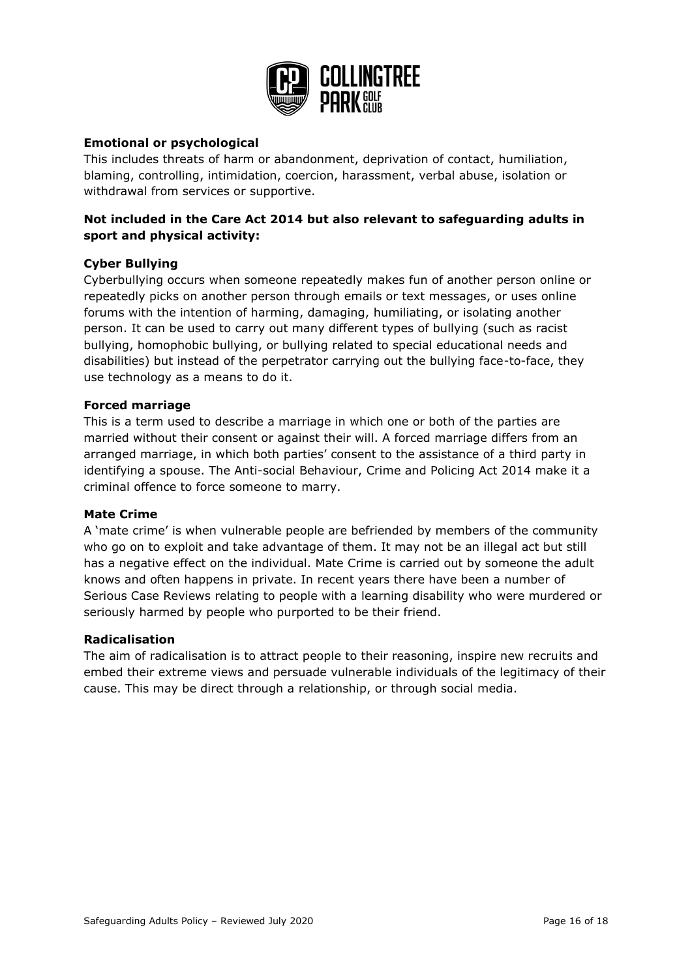

#### **Emotional or psychological**

This includes threats of harm or abandonment, deprivation of contact, humiliation, blaming, controlling, intimidation, coercion, harassment, verbal abuse, isolation or withdrawal from services or supportive.

## **Not included in the Care Act 2014 but also relevant to safeguarding adults in sport and physical activity:**

#### **Cyber Bullying**

Cyberbullying occurs when someone repeatedly makes fun of another person online or repeatedly picks on another person through emails or text messages, or uses online forums with the intention of harming, damaging, humiliating, or isolating another person. It can be used to carry out many different types of bullying (such as racist bullying, homophobic bullying, or bullying related to special educational needs and disabilities) but instead of the perpetrator carrying out the bullying face-to-face, they use technology as a means to do it.

#### **Forced marriage**

This is a term used to describe a marriage in which one or both of the parties are married without their consent or against their will. A forced marriage differs from an arranged marriage, in which both parties' consent to the assistance of a third party in identifying a spouse. The Anti-social Behaviour, Crime and Policing Act 2014 make it a criminal offence to force someone to marry.

#### **Mate Crime**

A 'mate crime' is when vulnerable people are befriended by members of the community who go on to exploit and take advantage of them. It may not be an illegal act but still has a negative effect on the individual. Mate Crime is carried out by someone the adult knows and often happens in private. In recent years there have been a number of Serious Case Reviews relating to people with a learning disability who were murdered or seriously harmed by people who purported to be their friend.

#### **Radicalisation**

The aim of radicalisation is to attract people to their reasoning, inspire new recruits and embed their extreme views and persuade vulnerable individuals of the legitimacy of their cause. This may be direct through a relationship, or through social media.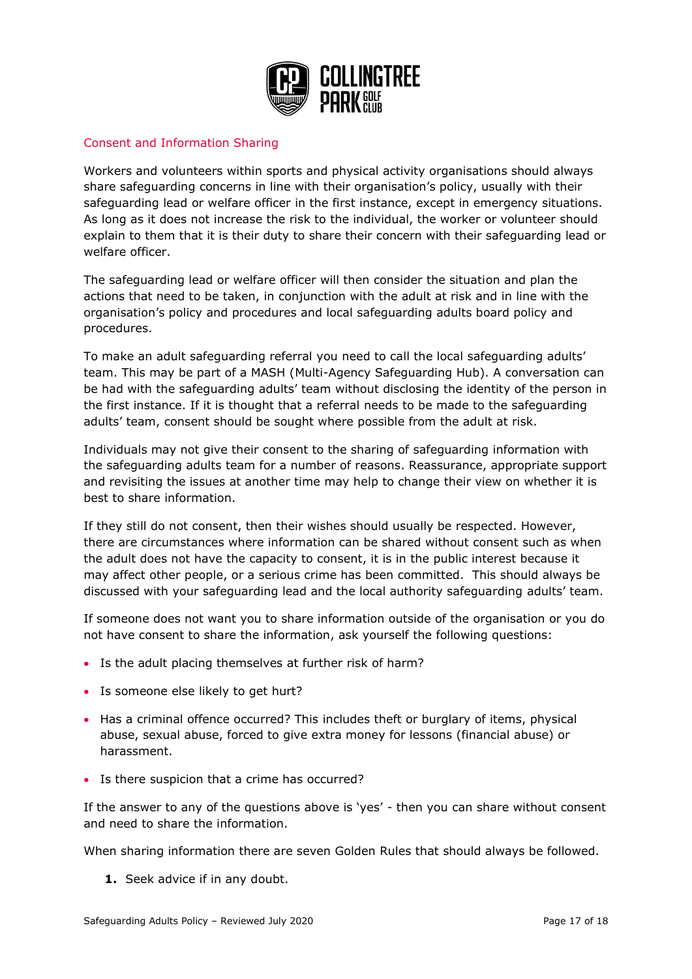

## <span id="page-16-0"></span>Consent and Information Sharing

Workers and volunteers within sports and physical activity organisations should always share safeguarding concerns in line with their organisation's policy, usually with their safeguarding lead or welfare officer in the first instance, except in emergency situations. As long as it does not increase the risk to the individual, the worker or volunteer should explain to them that it is their duty to share their concern with their safeguarding lead or welfare officer.

The safeguarding lead or welfare officer will then consider the situation and plan the actions that need to be taken, in conjunction with the adult at risk and in line with the organisation's policy and procedures and local safeguarding adults board policy and procedures.

To make an adult safeguarding referral you need to call the local safeguarding adults' team. This may be part of a MASH (Multi*-*Agency Safeguarding Hub). A conversation can be had with the safeguarding adults' team without disclosing the identity of the person in the first instance. If it is thought that a referral needs to be made to the safeguarding adults' team, consent should be sought where possible from the adult at risk.

Individuals may not give their consent to the sharing of safeguarding information with the safeguarding adults team for a number of reasons. Reassurance, appropriate support and revisiting the issues at another time may help to change their view on whether it is best to share information.

If they still do not consent, then their wishes should usually be respected. However, there are circumstances where information can be shared without consent such as when the adult does not have the capacity to consent, it is in the public interest because it may affect other people, or a serious crime has been committed. This should always be discussed with your safeguarding lead and the local authority safeguarding adults' team.

If someone does not want you to share information outside of the organisation or you do not have consent to share the information, ask yourself the following questions:

- Is the adult placing themselves at further risk of harm?
- Is someone else likely to get hurt?
- Has a criminal offence occurred? This includes theft or burglary of items, physical abuse, sexual abuse, forced to give extra money for lessons (financial abuse) or harassment.
- Is there suspicion that a crime has occurred?

If the answer to any of the questions above is 'yes' - then you can share without consent and need to share the information.

When sharing information there are seven Golden Rules that should always be followed.

**1.** Seek advice if in any doubt.